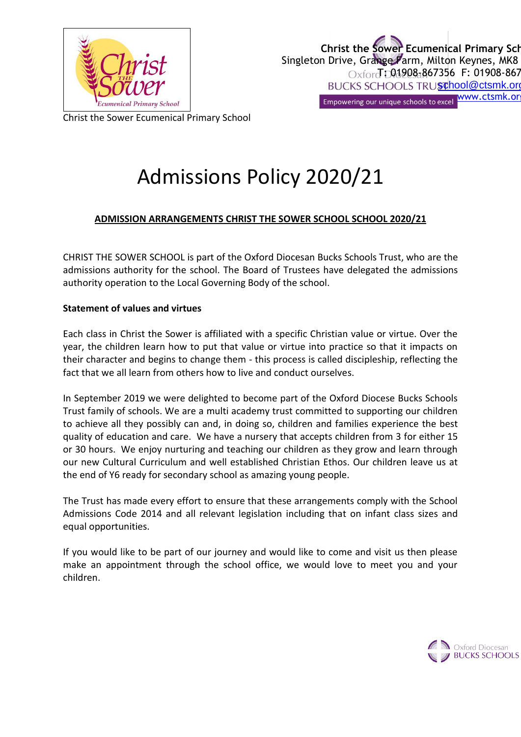

Christ the Sower Ecumenical Primary School

# Admissions Policy 2020/21

## **ADMISSION ARRANGEMENTS CHRIST THE SOWER SCHOOL SCHOOL 2020/21**

CHRIST THE SOWER SCHOOL is part of the Oxford Diocesan Bucks Schools Trust, who are the admissions authority for the school. The Board of Trustees have delegated the admissions authority operation to the Local Governing Body of the school.

## **Statement of values and virtues**

Each class in Christ the Sower is affiliated with a specific Christian value or virtue. Over the year, the children learn how to put that value or virtue into practice so that it impacts on their character and begins to change them - this process is called discipleship, reflecting the fact that we all learn from others how to live and conduct ourselves.

In September 2019 we were delighted to become part of the Oxford Diocese Bucks Schools Trust family of schools. We are a multi academy trust committed to supporting our children to achieve all they possibly can and, in doing so, children and families experience the best quality of education and care. We have a nursery that accepts children from 3 for either 15 or 30 hours. We enjoy nurturing and teaching our children as they grow and learn through our new Cultural Curriculum and well established Christian Ethos. Our children leave us at the end of Y6 ready for secondary school as amazing young people.

The Trust has made every effort to ensure that these arrangements comply with the School Admissions Code 2014 and all relevant legislation including that on infant class sizes and equal opportunities.

If you would like to be part of our journey and would like to come and visit us then please make an appointment through the school office, we would love to meet you and your children.

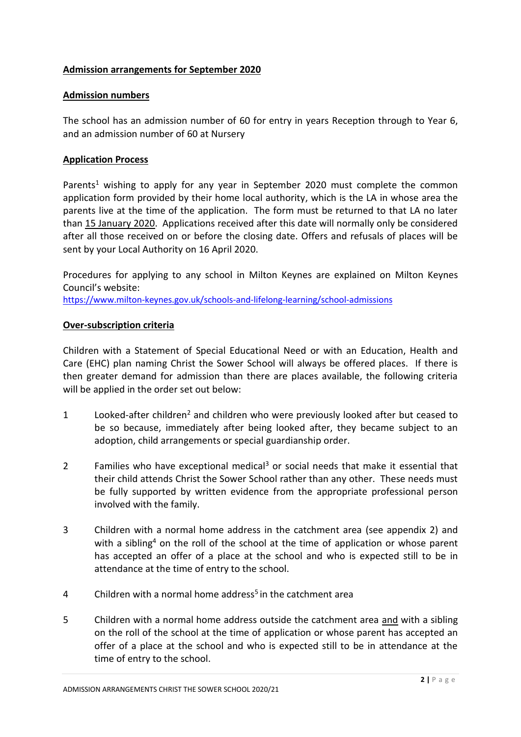## **Admission arrangements for September 2020**

#### **Admission numbers**

The school has an admission number of 60 for entry in years Reception through to Year 6, and an admission number of 60 at Nursery

#### **Application Process**

Parents<sup>1</sup> wishing to apply for any year in September 2020 must complete the common application form provided by their home local authority, which is the LA in whose area the parents live at the time of the application. The form must be returned to that LA no later than 15 January 2020. Applications received after this date will normally only be considered after all those received on or before the closing date. Offers and refusals of places will be sent by your Local Authority on 16 April 2020.

Procedures for applying to any school in Milton Keynes are explained on Milton Keynes Council's website:

<https://www.milton-keynes.gov.uk/schools-and-lifelong-learning/school-admissions>

## **Over-subscription criteria**

Children with a Statement of Special Educational Need or with an Education, Health and Care (EHC) plan naming Christ the Sower School will always be offered places. If there is then greater demand for admission than there are places available, the following criteria will be applied in the order set out below:

- 1 Looked-after children<sup>2</sup> and children who were previously looked after but ceased to be so because, immediately after being looked after, they became subject to an adoption, child arrangements or special guardianship order.
- 2 Families who have exceptional medical<sup>3</sup> or social needs that make it essential that their child attends Christ the Sower School rather than any other. These needs must be fully supported by written evidence from the appropriate professional person involved with the family.
- 3 Children with a normal home address in the catchment area (see appendix 2) and with a sibling<sup>4</sup> on the roll of the school at the time of application or whose parent has accepted an offer of a place at the school and who is expected still to be in attendance at the time of entry to the school.
- 4 Children with a normal home address<sup>5</sup> in the catchment area
- 5 Children with a normal home address outside the catchment area and with a sibling on the roll of the school at the time of application or whose parent has accepted an offer of a place at the school and who is expected still to be in attendance at the time of entry to the school.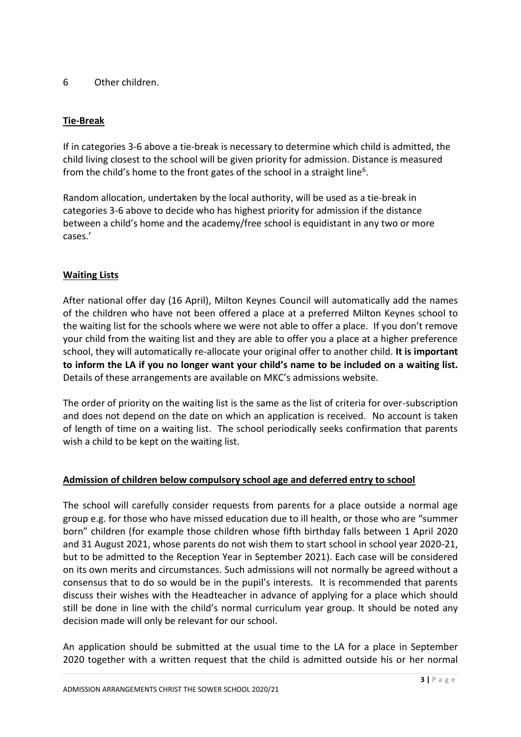## 6 Other children.

## **Tie-Break**

If in categories 3-6 above a tie-break is necessary to determine which child is admitted, the child living closest to the school will be given priority for admission. Distance is measured from the child's home to the front gates of the school in a straight line<sup>6</sup>.

Random allocation, undertaken by the local authority, will be used as a tie-break in categories 3-6 above to decide who has highest priority for admission if the distance between a child's home and the academy/free school is equidistant in any two or more cases.'

## **Waiting Lists**

After national offer day (16 April), Milton Keynes Council will automatically add the names of the children who have not been offered a place at a preferred Milton Keynes school to the waiting list for the schools where we were not able to offer a place. If you don't remove your child from the waiting list and they are able to offer you a place at a higher preference school, they will automatically re-allocate your original offer to another child. **It is important to inform the LA if you no longer want your child's name to be included on a waiting list.**  Details of these arrangements are available on MKC's admissions website.

The order of priority on the waiting list is the same as the list of criteria for over-subscription and does not depend on the date on which an application is received. No account is taken of length of time on a waiting list. The school periodically seeks confirmation that parents wish a child to be kept on the waiting list.

#### **Admission of children below compulsory school age and deferred entry to school**

The school will carefully consider requests from parents for a place outside a normal age group e.g. for those who have missed education due to ill health, or those who are "summer born" children (for example those children whose fifth birthday falls between 1 April 2020 and 31 August 2021, whose parents do not wish them to start school in school year 2020-21, but to be admitted to the Reception Year in September 2021). Each case will be considered on its own merits and circumstances. Such admissions will not normally be agreed without a consensus that to do so would be in the pupil's interests. It is recommended that parents discuss their wishes with the Headteacher in advance of applying for a place which should still be done in line with the child's normal curriculum year group. It should be noted any decision made will only be relevant for our school.

An application should be submitted at the usual time to the LA for a place in September 2020 together with a written request that the child is admitted outside his or her normal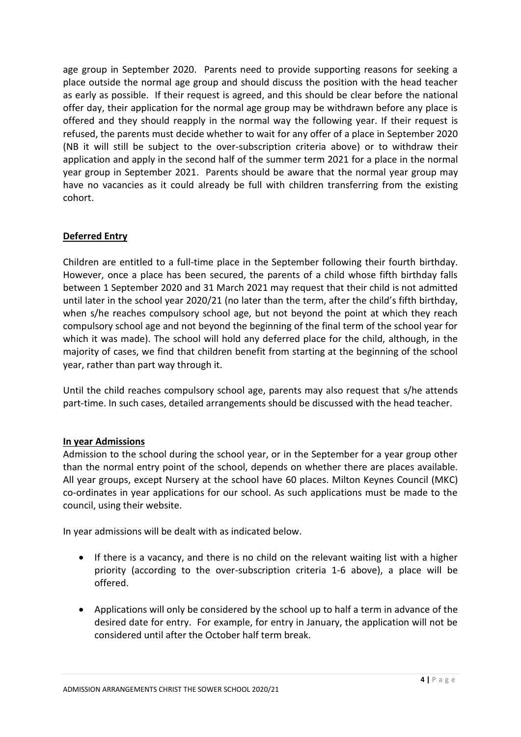age group in September 2020. Parents need to provide supporting reasons for seeking a place outside the normal age group and should discuss the position with the head teacher as early as possible. If their request is agreed, and this should be clear before the national offer day, their application for the normal age group may be withdrawn before any place is offered and they should reapply in the normal way the following year. If their request is refused, the parents must decide whether to wait for any offer of a place in September 2020 (NB it will still be subject to the over-subscription criteria above) or to withdraw their application and apply in the second half of the summer term 2021 for a place in the normal year group in September 2021. Parents should be aware that the normal year group may have no vacancies as it could already be full with children transferring from the existing cohort.

## **Deferred Entry**

Children are entitled to a full-time place in the September following their fourth birthday. However, once a place has been secured, the parents of a child whose fifth birthday falls between 1 September 2020 and 31 March 2021 may request that their child is not admitted until later in the school year 2020/21 (no later than the term, after the child's fifth birthday, when s/he reaches compulsory school age, but not beyond the point at which they reach compulsory school age and not beyond the beginning of the final term of the school year for which it was made). The school will hold any deferred place for the child, although, in the majority of cases, we find that children benefit from starting at the beginning of the school year, rather than part way through it.

Until the child reaches compulsory school age, parents may also request that s/he attends part-time. In such cases, detailed arrangements should be discussed with the head teacher.

## **In year Admissions**

Admission to the school during the school year, or in the September for a year group other than the normal entry point of the school, depends on whether there are places available. All year groups, except Nursery at the school have 60 places. Milton Keynes Council (MKC) co-ordinates in year applications for our school. As such applications must be made to the council, using their website.

In year admissions will be dealt with as indicated below.

- If there is a vacancy, and there is no child on the relevant waiting list with a higher priority (according to the over-subscription criteria 1-6 above), a place will be offered.
- Applications will only be considered by the school up to half a term in advance of the desired date for entry. For example, for entry in January, the application will not be considered until after the October half term break.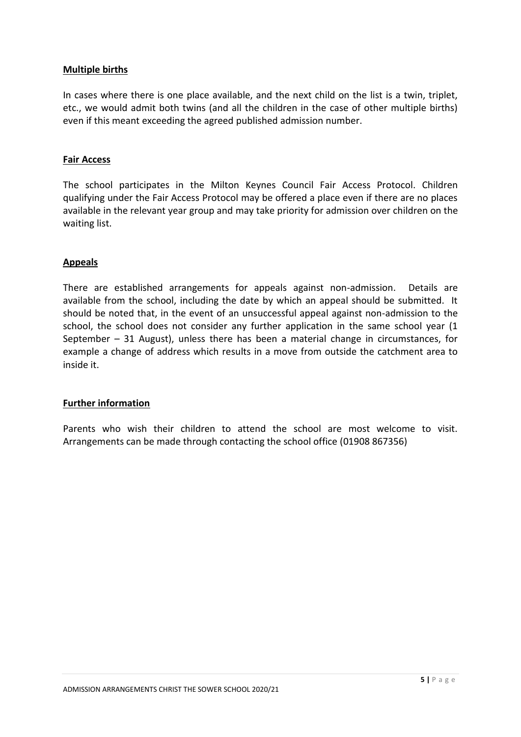#### **Multiple births**

In cases where there is one place available, and the next child on the list is a twin, triplet, etc., we would admit both twins (and all the children in the case of other multiple births) even if this meant exceeding the agreed published admission number.

#### **Fair Access**

The school participates in the Milton Keynes Council Fair Access Protocol. Children qualifying under the Fair Access Protocol may be offered a place even if there are no places available in the relevant year group and may take priority for admission over children on the waiting list.

#### **Appeals**

There are established arrangements for appeals against non-admission. Details are available from the school, including the date by which an appeal should be submitted. It should be noted that, in the event of an unsuccessful appeal against non-admission to the school, the school does not consider any further application in the same school year (1 September – 31 August), unless there has been a material change in circumstances, for example a change of address which results in a move from outside the catchment area to inside it.

#### **Further information**

Parents who wish their children to attend the school are most welcome to visit. Arrangements can be made through contacting the school office (01908 867356)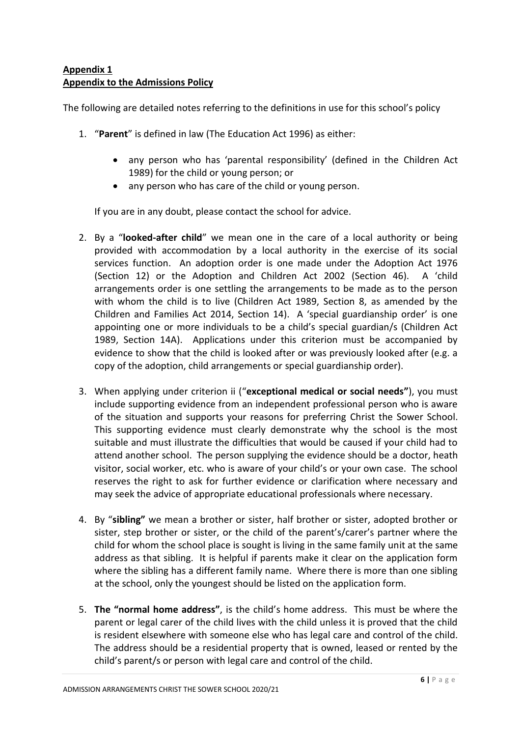## **Appendix 1 Appendix to the Admissions Policy**

The following are detailed notes referring to the definitions in use for this school's policy

- 1. "**Parent**" is defined in law (The Education Act 1996) as either:
	- any person who has 'parental responsibility' (defined in the Children Act 1989) for the child or young person; or
	- any person who has care of the child or young person.

If you are in any doubt, please contact the school for advice.

- 2. By a "**looked-after child**" we mean one in the care of a local authority or being provided with accommodation by a local authority in the exercise of its social services function. An adoption order is one made under the Adoption Act 1976 (Section 12) or the Adoption and Children Act 2002 (Section 46). A 'child arrangements order is one settling the arrangements to be made as to the person with whom the child is to live (Children Act 1989, Section 8, as amended by the Children and Families Act 2014, Section 14). A 'special guardianship order' is one appointing one or more individuals to be a child's special guardian/s (Children Act 1989, Section 14A). Applications under this criterion must be accompanied by evidence to show that the child is looked after or was previously looked after (e.g. a copy of the adoption, child arrangements or special guardianship order).
- 3. When applying under criterion ii ("**exceptional medical or social needs"**), you must include supporting evidence from an independent professional person who is aware of the situation and supports your reasons for preferring Christ the Sower School. This supporting evidence must clearly demonstrate why the school is the most suitable and must illustrate the difficulties that would be caused if your child had to attend another school. The person supplying the evidence should be a doctor, heath visitor, social worker, etc. who is aware of your child's or your own case. The school reserves the right to ask for further evidence or clarification where necessary and may seek the advice of appropriate educational professionals where necessary.
- 4. By "**sibling"** we mean a brother or sister, half brother or sister, adopted brother or sister, step brother or sister, or the child of the parent's/carer's partner where the child for whom the school place is sought is living in the same family unit at the same address as that sibling. It is helpful if parents make it clear on the application form where the sibling has a different family name. Where there is more than one sibling at the school, only the youngest should be listed on the application form.
- 5. **The "normal home address"**, is the child's home address. This must be where the parent or legal carer of the child lives with the child unless it is proved that the child is resident elsewhere with someone else who has legal care and control of the child. The address should be a residential property that is owned, leased or rented by the child's parent/s or person with legal care and control of the child.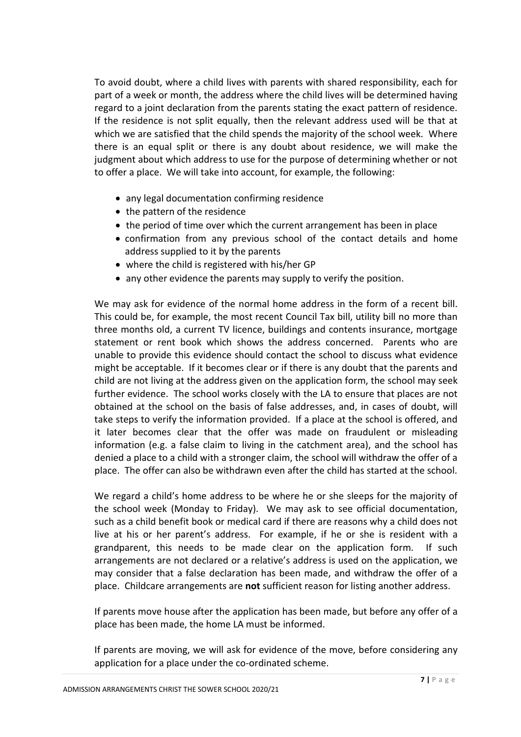To avoid doubt, where a child lives with parents with shared responsibility, each for part of a week or month, the address where the child lives will be determined having regard to a joint declaration from the parents stating the exact pattern of residence. If the residence is not split equally, then the relevant address used will be that at which we are satisfied that the child spends the majority of the school week. Where there is an equal split or there is any doubt about residence, we will make the judgment about which address to use for the purpose of determining whether or not to offer a place. We will take into account, for example, the following:

- any legal documentation confirming residence
- the pattern of the residence
- the period of time over which the current arrangement has been in place
- confirmation from any previous school of the contact details and home address supplied to it by the parents
- where the child is registered with his/her GP
- any other evidence the parents may supply to verify the position.

We may ask for evidence of the normal home address in the form of a recent bill. This could be, for example, the most recent Council Tax bill, utility bill no more than three months old, a current TV licence, buildings and contents insurance, mortgage statement or rent book which shows the address concerned. Parents who are unable to provide this evidence should contact the school to discuss what evidence might be acceptable. If it becomes clear or if there is any doubt that the parents and child are not living at the address given on the application form, the school may seek further evidence. The school works closely with the LA to ensure that places are not obtained at the school on the basis of false addresses, and, in cases of doubt, will take steps to verify the information provided. If a place at the school is offered, and it later becomes clear that the offer was made on fraudulent or misleading information (e.g. a false claim to living in the catchment area), and the school has denied a place to a child with a stronger claim, the school will withdraw the offer of a place. The offer can also be withdrawn even after the child has started at the school.

We regard a child's home address to be where he or she sleeps for the majority of the school week (Monday to Friday). We may ask to see official documentation, such as a child benefit book or medical card if there are reasons why a child does not live at his or her parent's address. For example, if he or she is resident with a grandparent, this needs to be made clear on the application form. If such arrangements are not declared or a relative's address is used on the application, we may consider that a false declaration has been made, and withdraw the offer of a place. Childcare arrangements are **not** sufficient reason for listing another address.

If parents move house after the application has been made, but before any offer of a place has been made, the home LA must be informed.

If parents are moving, we will ask for evidence of the move, before considering any application for a place under the co-ordinated scheme.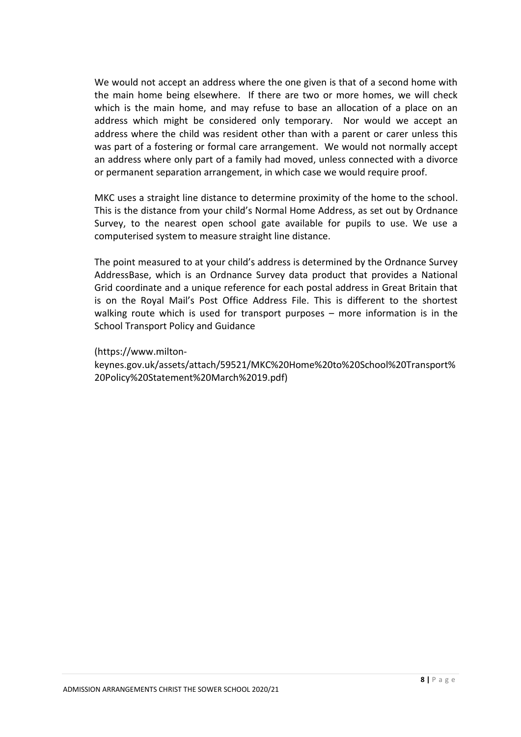We would not accept an address where the one given is that of a second home with the main home being elsewhere. If there are two or more homes, we will check which is the main home, and may refuse to base an allocation of a place on an address which might be considered only temporary. Nor would we accept an address where the child was resident other than with a parent or carer unless this was part of a fostering or formal care arrangement. We would not normally accept an address where only part of a family had moved, unless connected with a divorce or permanent separation arrangement, in which case we would require proof.

MKC uses a straight line distance to determine proximity of the home to the school. This is the distance from your child's Normal Home Address, as set out by Ordnance Survey, to the nearest open school gate available for pupils to use. We use a computerised system to measure straight line distance.

The point measured to at your child's address is determined by the Ordnance Survey AddressBase, which is an Ordnance Survey data product that provides a National Grid coordinate and a unique reference for each postal address in Great Britain that is on the Royal Mail's Post Office Address File. This is different to the shortest walking route which is used for transport purposes – more information is in the School Transport Policy and Guidance

(https://www.milton-

keynes.gov.uk/assets/attach/59521/MKC%20Home%20to%20School%20Transport% 20Policy%20Statement%20March%2019.pdf)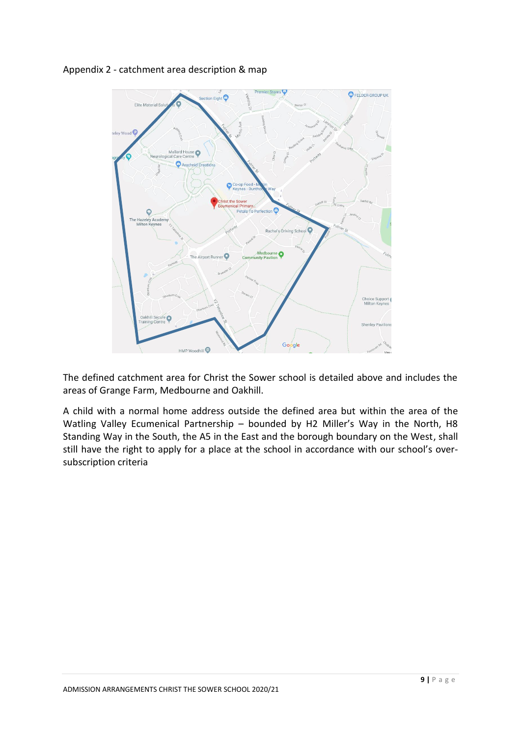

Appendix 2 - catchment area description & map

The defined catchment area for Christ the Sower school is detailed above and includes the areas of Grange Farm, Medbourne and Oakhill.

A child with a normal home address outside the defined area but within the area of the Watling Valley Ecumenical Partnership – bounded by H2 Miller's Way in the North, H8 Standing Way in the South, the A5 in the East and the borough boundary on the West, shall still have the right to apply for a place at the school in accordance with our school's oversubscription criteria